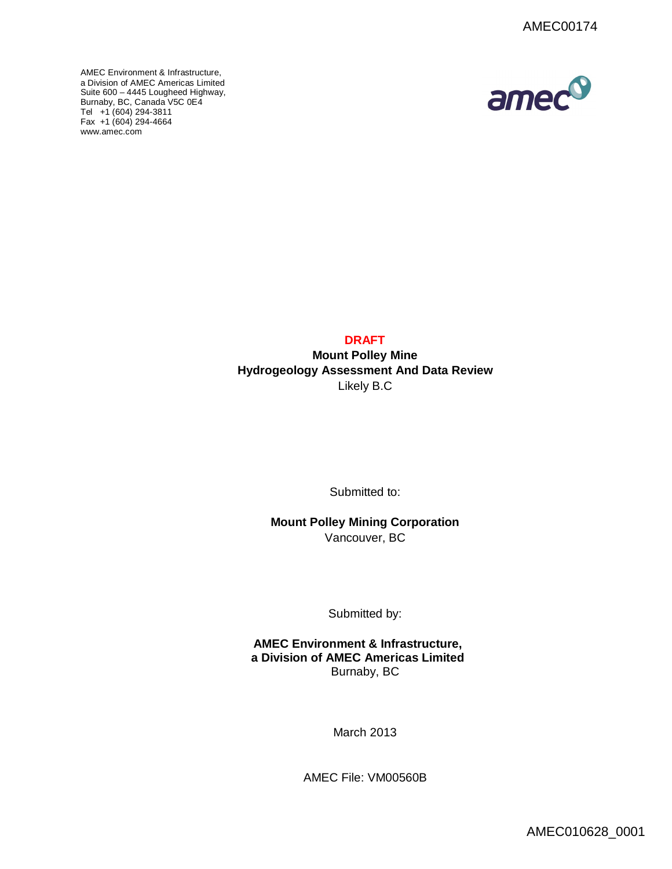AMEC Environment & Infrastructure, a Division of AMEC Americas Limited Suite 600 – 4445 Lougheed Highway, [Burnaby, BC, C](http://www.amec.com)anada V5C 0E4 Tel +1 (604) 294-3811 Fax +1 (604) 294-4664 www.amec.com



## **DRAFT**

**Mount Polley Mine Hydrogeology Assessment And Data Review** Likely B.C

Submitted to:

**Mount Polley Mining Corporation** Vancouver, BC

Submitted by:

**AMEC Environment & Infrastructure, a Division of AMEC Americas Limited** Burnaby, BC

March 2013

AMEC File: VM00560B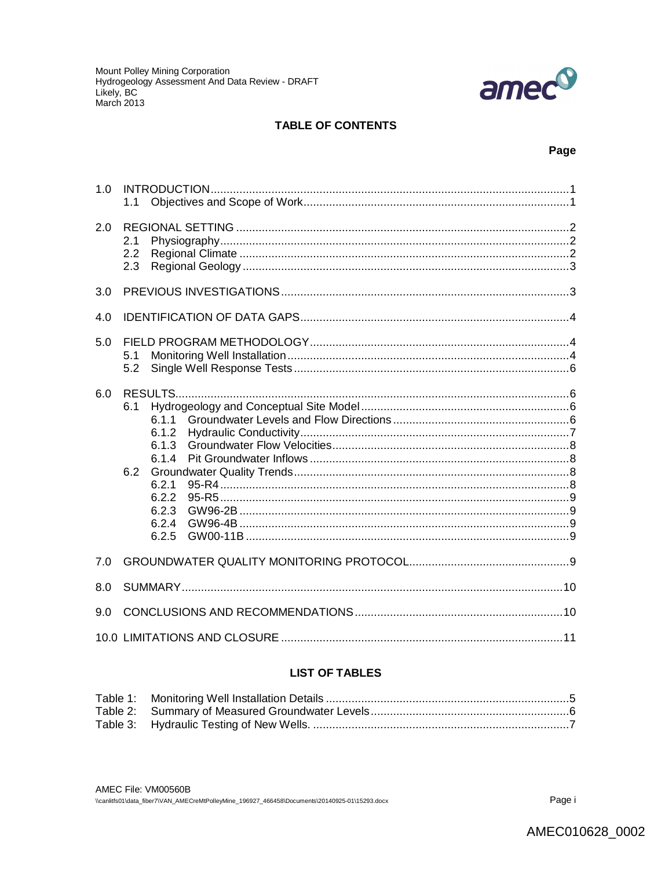

### **TABLE OF CONTENTS**

### Page

| 1.0 | 1.1                                                                                         |  |  |
|-----|---------------------------------------------------------------------------------------------|--|--|
| 2.0 | 2.1<br>2.2<br>2.3                                                                           |  |  |
| 3.0 |                                                                                             |  |  |
| 4.0 |                                                                                             |  |  |
| 5.0 | 5.1<br>5.2                                                                                  |  |  |
| 6.0 | 6.1<br>6.1.1<br>6.1.2<br>6.1.3<br>6.1.4<br>6.2<br>6.2.1<br>6.2.2<br>6.2.3<br>6.2.4<br>6.2.5 |  |  |
| 7.0 |                                                                                             |  |  |
| 8.0 |                                                                                             |  |  |
| 9.0 |                                                                                             |  |  |
|     |                                                                                             |  |  |

# **LIST OF TABLES**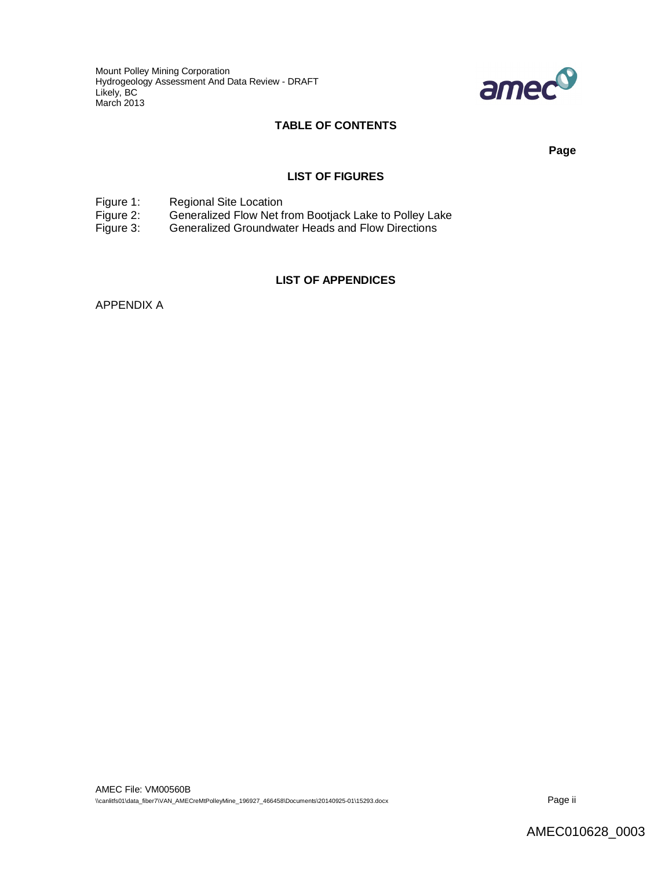Mount Polley Mining Corporation Hydrogeology Assessment And Data Review - DRAFT Likely, BC March 2013



### **TABLE OF CONTENTS**

**Page**

#### **LIST OF FIGURES**

Figure 1: Regional Site Location<br>Figure 2: Generalized Flow Net f

Figure 2: Generalized Flow Net from Bootjack Lake to Polley Lake<br>Figure 3: Generalized Groundwater Heads and Flow Directions

Generalized Groundwater Heads and Flow Directions

### **LIST OF APPENDICES**

APPENDIX A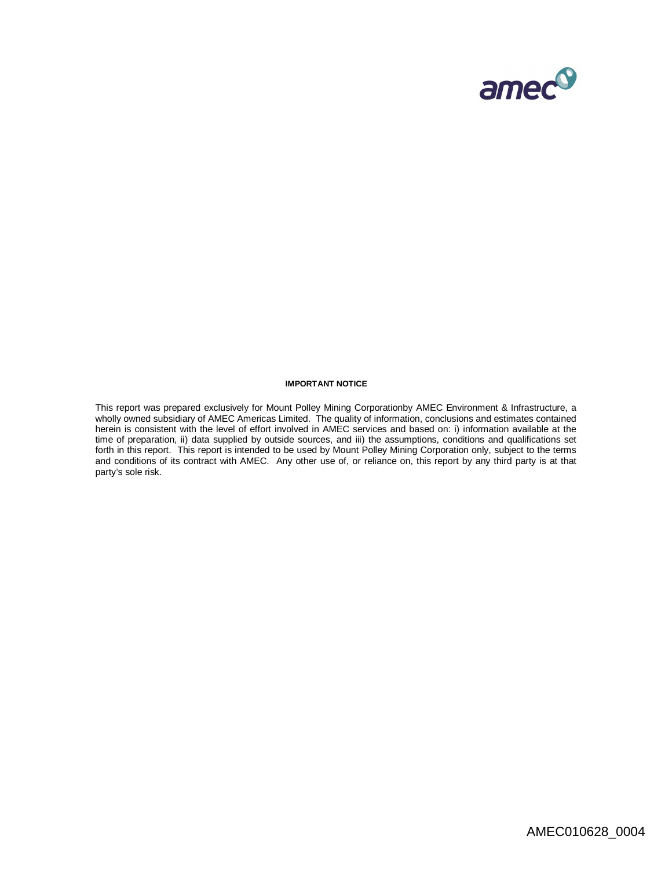

#### **IMPORTANT NOTICE**

This report was prepared exclusively for Mount Polley Mining Corporationby AMEC Environment & Infrastructure, a wholly owned subsidiary of AMEC Americas Limited. The quality of information, conclusions and estimates contained herein is consistent with the level of effort involved in AMEC services and based on: i) information available at the time of preparation, ii) data supplied by outside sources, and iii) the assumptions, conditions and qualifications set forth in this report. This report is intended to be used by Mount Polley Mining Corporation only, subject to the terms and conditions of its contract with AMEC. Any other use of, or reliance on, this report by any third party is at that party's sole risk.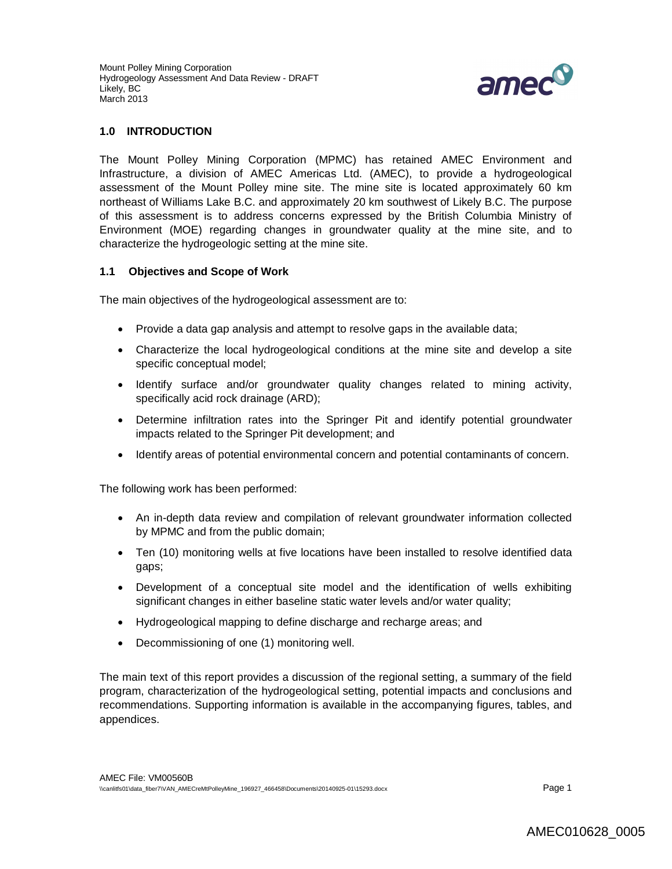

### **1.0 INTRODUCTION**

The Mount Polley Mining Corporation (MPMC) has retained AMEC Environment and Infrastructure, a division of AMEC Americas Ltd. (AMEC), to provide a hydrogeological assessment of the Mount Polley mine site. The mine site is located approximately 60 km northeast of Williams Lake B.C. and approximately 20 km southwest of Likely B.C. The purpose of this assessment is to address concerns expressed by the British Columbia Ministry of Environment (MOE) regarding changes in groundwater quality at the mine site, and to characterize the hydrogeologic setting at the mine site.

#### **1.1 Objectives and Scope of Work**

The main objectives of the hydrogeological assessment are to:

- Provide a data gap analysis and attempt to resolve gaps in the available data;
- Characterize the local hydrogeological conditions at the mine site and develop a site specific conceptual model;
- Identify surface and/or groundwater quality changes related to mining activity, specifically acid rock drainage (ARD);
- Determine infiltration rates into the Springer Pit and identify potential groundwater impacts related to the Springer Pit development; and
- Identify areas of potential environmental concern and potential contaminants of concern.

The following work has been performed:

- An in-depth data review and compilation of relevant groundwater information collected by MPMC and from the public domain;
- Ten (10) monitoring wells at five locations have been installed to resolve identified data gaps;
- Development of a conceptual site model and the identification of wells exhibiting significant changes in either baseline static water levels and/or water quality;
- Hydrogeological mapping to define discharge and recharge areas; and
- Decommissioning of one (1) monitoring well.

The main text of this report provides a discussion of the regional setting, a summary of the field program, characterization of the hydrogeological setting, potential impacts and conclusions and recommendations. Supporting information is available in the accompanying figures, tables, and appendices.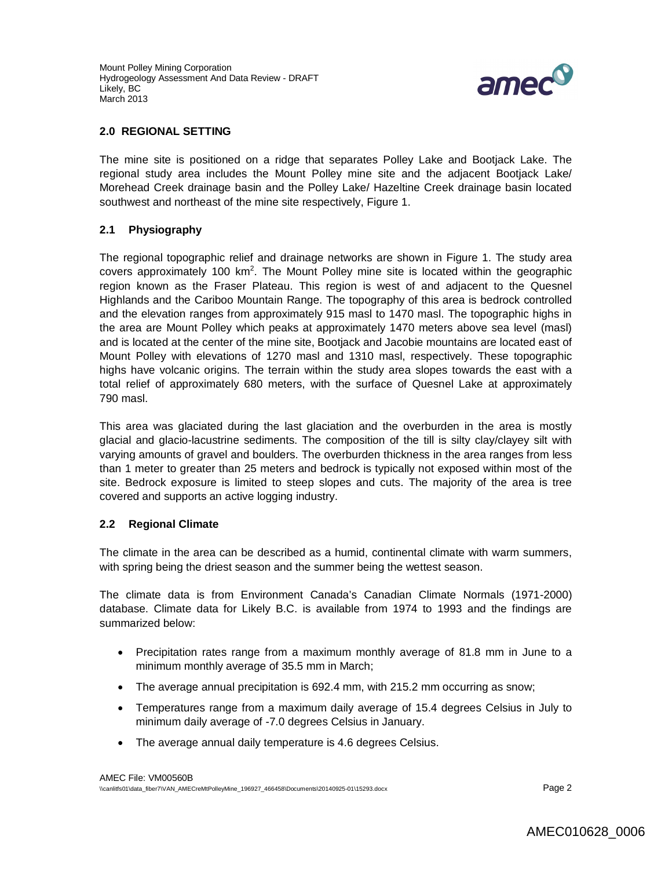

#### **2.0 REGIONAL SETTING**

The mine site is positioned on a ridge that separates Polley Lake and Bootjack Lake. The regional study area includes the Mount Polley mine site and the adjacent Bootjack Lake/ Morehead Creek drainage basin and the Polley Lake/ Hazeltine Creek drainage basin located southwest and northeast of the mine site respectively, Figure 1.

### **2.1 Physiography**

The regional topographic relief and drainage networks are shown in Figure 1. The study area covers approximately 100 km<sup>2</sup>. The Mount Polley mine site is located within the geographic region known as the Fraser Plateau. This region is west of and adjacent to the Quesnel Highlands and the Cariboo Mountain Range. The topography of this area is bedrock controlled and the elevation ranges from approximately 915 masl to 1470 masl. The topographic highs in the area are Mount Polley which peaks at approximately 1470 meters above sea level (masl) and is located at the center of the mine site, Bootjack and Jacobie mountains are located east of Mount Polley with elevations of 1270 masl and 1310 masl, respectively. These topographic highs have volcanic origins. The terrain within the study area slopes towards the east with a total relief of approximately 680 meters, with the surface of Quesnel Lake at approximately 790 masl.

This area was glaciated during the last glaciation and the overburden in the area is mostly glacial and glacio-lacustrine sediments. The composition of the till is silty clay/clayey silt with varying amounts of gravel and boulders. The overburden thickness in the area ranges from less than 1 meter to greater than 25 meters and bedrock is typically not exposed within most of the site. Bedrock exposure is limited to steep slopes and cuts. The majority of the area is tree covered and supports an active logging industry.

### **2.2 Regional Climate**

The climate in the area can be described as a humid, continental climate with warm summers, with spring being the driest season and the summer being the wettest season.

The climate data is from Environment Canada's Canadian Climate Normals (1971-2000) database. Climate data for Likely B.C. is available from 1974 to 1993 and the findings are summarized below:

- Precipitation rates range from a maximum monthly average of 81.8 mm in June to a minimum monthly average of 35.5 mm in March;
- The average annual precipitation is 692.4 mm, with 215.2 mm occurring as snow;
- Temperatures range from a maximum daily average of 15.4 degrees Celsius in July to minimum daily average of -7.0 degrees Celsius in January.
- The average annual daily temperature is 4.6 degrees Celsius.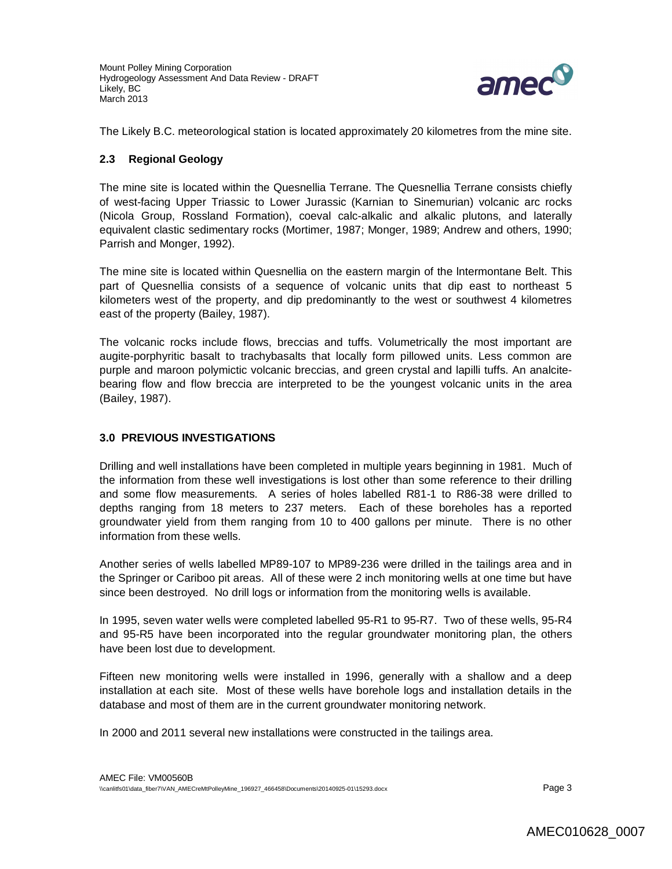

The Likely B.C. meteorological station is located approximately 20 kilometres from the mine site.

### **2.3 Regional Geology**

The mine site is located within the Quesnellia Terrane. The Quesnellia Terrane consists chiefly of west-facing Upper Triassic to Lower Jurassic (Karnian to Sinemurian) volcanic arc rocks (Nicola Group, Rossland Formation), coeval calc-alkalic and alkalic plutons, and laterally equivalent clastic sedimentary rocks (Mortimer, 1987; Monger, 1989; Andrew and others, 1990; Parrish and Monger, 1992).

The mine site is located within Quesnellia on the eastern margin of the lntermontane Belt. This part of Quesnellia consists of a sequence of volcanic units that dip east to northeast 5 kilometers west of the property, and dip predominantly to the west or southwest 4 kilometres east of the property (Bailey, 1987).

The volcanic rocks include flows, breccias and tuffs. Volumetrically the most important are augite-porphyritic basalt to trachybasalts that locally form pillowed units. Less common are purple and maroon polymictic volcanic breccias, and green crystal and lapilli tuffs. An analcitebearing flow and flow breccia are interpreted to be the youngest volcanic units in the area (Bailey, 1987).

### **3.0 PREVIOUS INVESTIGATIONS**

Drilling and well installations have been completed in multiple years beginning in 1981. Much of the information from these well investigations is lost other than some reference to their drilling and some flow measurements. A series of holes labelled R81-1 to R86-38 were drilled to depths ranging from 18 meters to 237 meters. Each of these boreholes has a reported groundwater yield from them ranging from 10 to 400 gallons per minute. There is no other information from these wells.

Another series of wells labelled MP89-107 to MP89-236 were drilled in the tailings area and in the Springer or Cariboo pit areas. All of these were 2 inch monitoring wells at one time but have since been destroyed. No drill logs or information from the monitoring wells is available.

In 1995, seven water wells were completed labelled 95-R1 to 95-R7. Two of these wells, 95-R4 and 95-R5 have been incorporated into the regular groundwater monitoring plan, the others have been lost due to development.

Fifteen new monitoring wells were installed in 1996, generally with a shallow and a deep installation at each site. Most of these wells have borehole logs and installation details in the database and most of them are in the current groundwater monitoring network.

In 2000 and 2011 several new installations were constructed in the tailings area.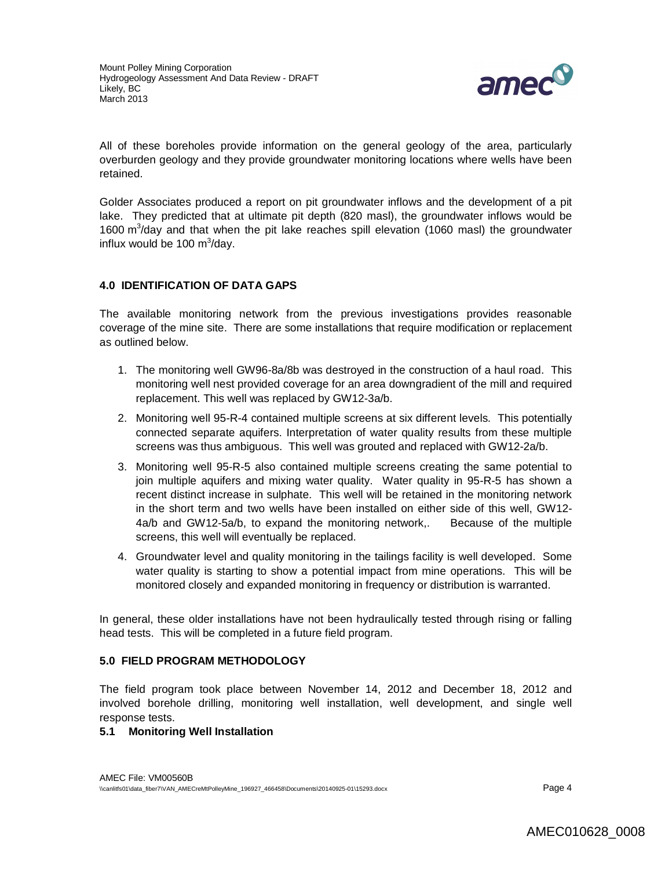

All of these boreholes provide information on the general geology of the area, particularly overburden geology and they provide groundwater monitoring locations where wells have been retained.

Golder Associates produced a report on pit groundwater inflows and the development of a pit lake. They predicted that at ultimate pit depth (820 masl), the groundwater inflows would be 1600 m<sup>3</sup>/day and that when the pit lake reaches spill elevation (1060 masl) the groundwater influx would be 100  $\text{m}^3$ /day.

### **4.0 IDENTIFICATION OF DATA GAPS**

The available monitoring network from the previous investigations provides reasonable coverage of the mine site. There are some installations that require modification or replacement as outlined below.

- 1. The monitoring well GW96-8a/8b was destroyed in the construction of a haul road. This monitoring well nest provided coverage for an area downgradient of the mill and required replacement. This well was replaced by GW12-3a/b.
- 2. Monitoring well 95-R-4 contained multiple screens at six different levels. This potentially connected separate aquifers. Interpretation of water quality results from these multiple screens was thus ambiguous. This well was grouted and replaced with GW12-2a/b.
- 3. Monitoring well 95-R-5 also contained multiple screens creating the same potential to join multiple aquifers and mixing water quality. Water quality in 95-R-5 has shown a recent distinct increase in sulphate. This well will be retained in the monitoring network in the short term and two wells have been installed on either side of this well, GW12- 4a/b and GW12-5a/b, to expand the monitoring network,. Because of the multiple screens, this well will eventually be replaced.
- 4. Groundwater level and quality monitoring in the tailings facility is well developed. Some water quality is starting to show a potential impact from mine operations. This will be monitored closely and expanded monitoring in frequency or distribution is warranted.

In general, these older installations have not been hydraulically tested through rising or falling head tests. This will be completed in a future field program.

### **5.0 FIELD PROGRAM METHODOLOGY**

The field program took place between November 14, 2012 and December 18, 2012 and involved borehole drilling, monitoring well installation, well development, and single well response tests.

### **5.1 Monitoring Well Installation**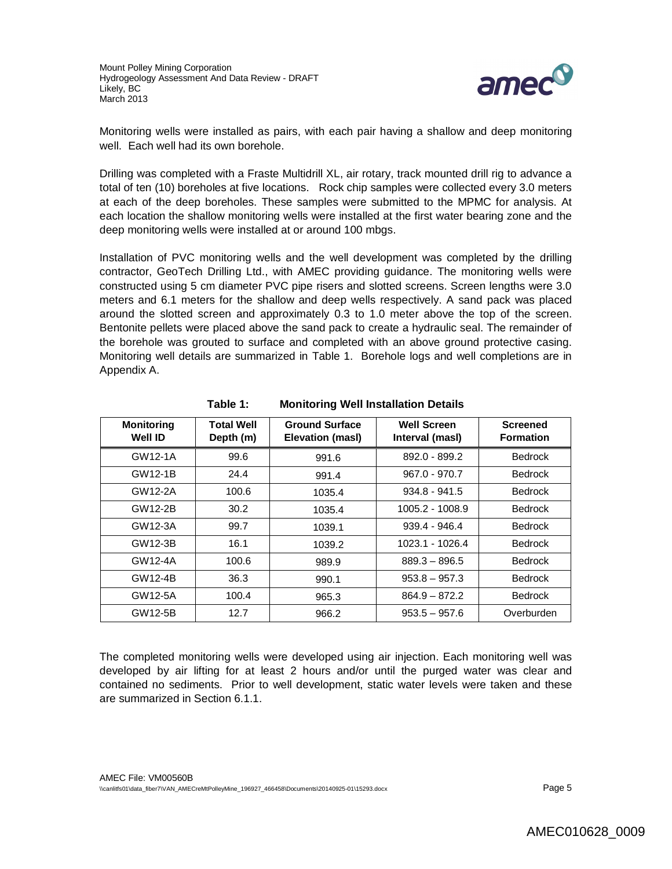

Monitoring wells were installed as pairs, with each pair having a shallow and deep monitoring well. Each well had its own borehole.

Drilling was completed with a Fraste Multidrill XL, air rotary, track mounted drill rig to advance a total of ten (10) boreholes at five locations. Rock chip samples were collected every 3.0 meters at each of the deep boreholes. These samples were submitted to the MPMC for analysis. At each location the shallow monitoring wells were installed at the first water bearing zone and the deep monitoring wells were installed at or around 100 mbgs.

Installation of PVC monitoring wells and the well development was completed by the drilling contractor, GeoTech Drilling Ltd., with AMEC providing guidance. The monitoring wells were constructed using 5 cm diameter PVC pipe risers and slotted screens. Screen lengths were 3.0 meters and 6.1 meters for the shallow and deep wells respectively. A sand pack was placed around the slotted screen and approximately 0.3 to 1.0 meter above the top of the screen. Bentonite pellets were placed above the sand pack to create a hydraulic seal. The remainder of the borehole was grouted to surface and completed with an above ground protective casing. Monitoring well details are summarized in Table 1. Borehole logs and well completions are in Appendix A.

| <b>Monitoring</b><br>Well ID | <b>Total Well</b><br>Depth (m) | <b>Ground Surface</b><br>Elevation (masl) | <b>Well Screen</b><br>Interval (masl) | <b>Screened</b><br><b>Formation</b> |
|------------------------------|--------------------------------|-------------------------------------------|---------------------------------------|-------------------------------------|
| GW12-1A                      | 99.6                           | 991.6                                     | 892.0 - 899.2                         | <b>Bedrock</b>                      |
| GW12-1B                      | 24.4                           | 991.4                                     | $967.0 - 970.7$                       | <b>Bedrock</b>                      |
| GW12-2A                      | 100.6                          | 1035.4                                    | $934.8 - 941.5$                       | <b>Bedrock</b>                      |
| GW12-2B                      | 30.2                           | 1035.4                                    | 1005.2 - 1008.9                       | <b>Bedrock</b>                      |
| GW12-3A                      | 99.7                           | 1039.1                                    | $939.4 - 946.4$                       | <b>Bedrock</b>                      |
| GW12-3B                      | 16.1                           | 1039.2                                    | 1023.1 - 1026.4                       | <b>Bedrock</b>                      |
| GW12-4A                      | 100.6                          | 989.9                                     | $889.3 - 896.5$                       | <b>Bedrock</b>                      |
| GW12-4B                      | 36.3                           | 990.1                                     | $953.8 - 957.3$                       | <b>Bedrock</b>                      |
| GW12-5A                      | 100.4                          | 965.3                                     | $864.9 - 872.2$                       | <b>Bedrock</b>                      |
| GW12-5B                      | 12.7                           | 966.2                                     | $953.5 - 957.6$                       | Overburden                          |

## **Table 1: Monitoring Well Installation Details**

The completed monitoring wells were developed using air injection. Each monitoring well was developed by air lifting for at least 2 hours and/or until the purged water was clear and contained no sediments. Prior to well development, static water levels were taken and these are summarized in Section 6.1.1.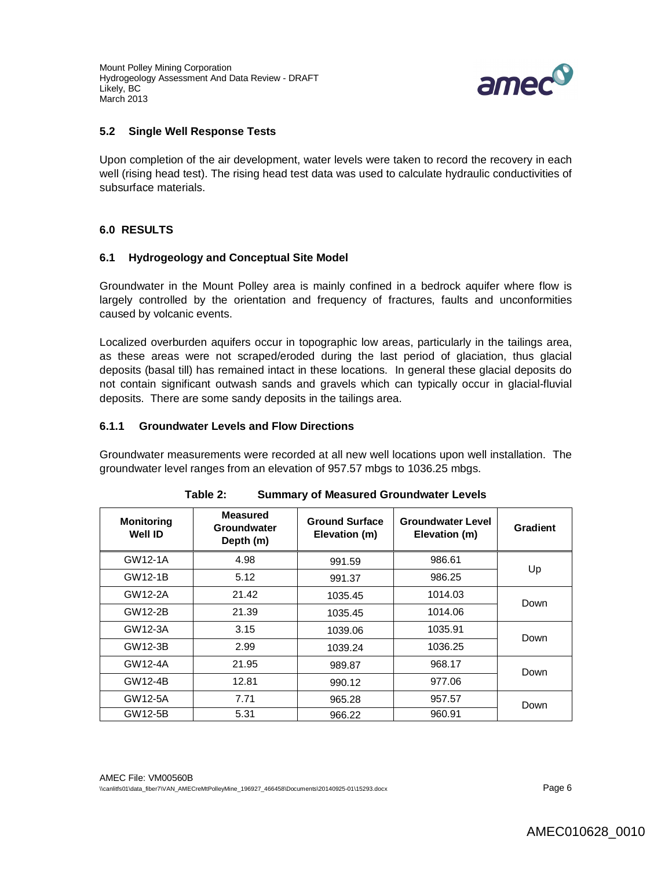Mount Polley Mining Corporation Hydrogeology Assessment And Data Review - DRAFT Likely, BC March 2013



#### **5.2 Single Well Response Tests**

Upon completion of the air development, water levels were taken to record the recovery in each well (rising head test). The rising head test data was used to calculate hydraulic conductivities of subsurface materials.

### **6.0 RESULTS**

#### **6.1 Hydrogeology and Conceptual Site Model**

Groundwater in the Mount Polley area is mainly confined in a bedrock aquifer where flow is largely controlled by the orientation and frequency of fractures, faults and unconformities caused by volcanic events.

Localized overburden aquifers occur in topographic low areas, particularly in the tailings area, as these areas were not scraped/eroded during the last period of glaciation, thus glacial deposits (basal till) has remained intact in these locations. In general these glacial deposits do not contain significant outwash sands and gravels which can typically occur in glacial-fluvial deposits. There are some sandy deposits in the tailings area.

#### **6.1.1 Groundwater Levels and Flow Directions**

Groundwater measurements were recorded at all new well locations upon well installation. The groundwater level ranges from an elevation of 957.57 mbgs to 1036.25 mbgs.

| <b>Monitoring</b><br>Well ID | <b>Measured</b><br>Groundwater<br>Depth (m) | <b>Ground Surface</b><br>Elevation (m) | <b>Groundwater Level</b><br>Elevation (m) | Gradient |
|------------------------------|---------------------------------------------|----------------------------------------|-------------------------------------------|----------|
| GW12-1A                      | 4.98                                        | 991.59                                 | 986.61                                    | Up       |
| GW12-1B                      | 5.12                                        | 991.37                                 | 986.25                                    |          |
| GW12-2A                      | 21.42                                       | 1035.45                                | 1014.03                                   | Down     |
| GW12-2B                      | 21.39                                       | 1035.45                                | 1014.06                                   |          |
| GW12-3A                      | 3.15                                        | 1039.06                                | 1035.91                                   | Down     |
| GW12-3B                      | 2.99                                        | 1039.24                                | 1036.25                                   |          |
| GW12-4A                      | 21.95                                       | 989.87                                 | 968.17                                    | Down     |
| GW12-4B                      | 12.81                                       | 990.12                                 | 977.06                                    |          |
| GW12-5A                      | 7.71                                        | 965.28                                 | 957.57                                    | Down     |
| GW12-5B                      | 5.31                                        | 966.22                                 | 960.91                                    |          |

| Table 2: | <b>Summary of Measured Groundwater Levels</b> |  |
|----------|-----------------------------------------------|--|
|----------|-----------------------------------------------|--|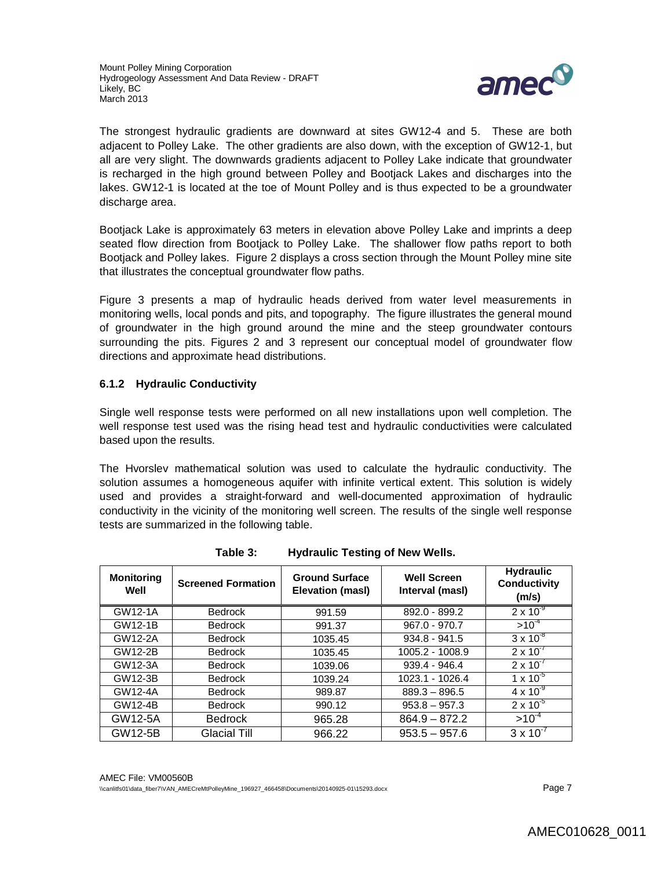

The strongest hydraulic gradients are downward at sites GW12-4 and 5. These are both adjacent to Polley Lake. The other gradients are also down, with the exception of GW12-1, but all are very slight. The downwards gradients adjacent to Polley Lake indicate that groundwater is recharged in the high ground between Polley and Bootjack Lakes and discharges into the lakes. GW12-1 is located at the toe of Mount Polley and is thus expected to be a groundwater discharge area.

Bootjack Lake is approximately 63 meters in elevation above Polley Lake and imprints a deep seated flow direction from Bootjack to Polley Lake. The shallower flow paths report to both Bootjack and Polley lakes. Figure 2 displays a cross section through the Mount Polley mine site that illustrates the conceptual groundwater flow paths.

Figure 3 presents a map of hydraulic heads derived from water level measurements in monitoring wells, local ponds and pits, and topography. The figure illustrates the general mound of groundwater in the high ground around the mine and the steep groundwater contours surrounding the pits. Figures 2 and 3 represent our conceptual model of groundwater flow directions and approximate head distributions.

### **6.1.2 Hydraulic Conductivity**

Single well response tests were performed on all new installations upon well completion. The well response test used was the rising head test and hydraulic conductivities were calculated based upon the results.

The Hvorslev mathematical solution was used to calculate the hydraulic conductivity. The solution assumes a homogeneous aquifer with infinite vertical extent. This solution is widely used and provides a straight-forward and well-documented approximation of hydraulic conductivity in the vicinity of the monitoring well screen. The results of the single well response tests are summarized in the following table.

| <b>Monitoring</b><br>Well | <b>Screened Formation</b> | <b>Ground Surface</b><br>Elevation (masl) | <b>Well Screen</b><br>Interval (masl) | <b>Hydraulic</b><br>Conductivity<br>(m/s) |
|---------------------------|---------------------------|-------------------------------------------|---------------------------------------|-------------------------------------------|
| GW12-1A                   | <b>Bedrock</b>            | 991.59                                    | 892.0 - 899.2                         | $2 \times 10^{-9}$                        |
| GW12-1B                   | <b>Bedrock</b>            | 991.37                                    | $967.0 - 970.7$                       | $>10^{-4}$                                |
| GW12-2A                   | <b>Bedrock</b>            | 1035.45                                   | $934.8 - 941.5$                       | $3 \times 10^{-8}$                        |
| GW12-2B                   | <b>Bedrock</b>            | 1035.45                                   | 1005.2 - 1008.9                       | $2 \times 10^{-7}$                        |
| GW12-3A                   | <b>Bedrock</b>            | 1039.06                                   | $939.4 - 946.4$                       | $2 \times 10^{-7}$                        |
| GW12-3B                   | <b>Bedrock</b>            | 1039.24                                   | 1023.1 - 1026.4                       | $1 \times 10^{-5}$                        |
| GW12-4A                   | <b>Bedrock</b>            | 989.87                                    | $889.3 - 896.5$                       | $4 \times 10^{-9}$                        |
| GW12-4B                   | <b>Bedrock</b>            | 990.12                                    | $953.8 - 957.3$                       | $2 \times 10^{-5}$                        |
| GW12-5A                   | <b>Bedrock</b>            | 965.28                                    | $864.9 - 872.2$                       | $>10^{-4}$                                |
| GW12-5B                   | Glacial Till              | 966.22                                    | $953.5 - 957.6$                       | $3 \times 10^{-7}$                        |

**Table 3: Hydraulic Testing of New Wells.**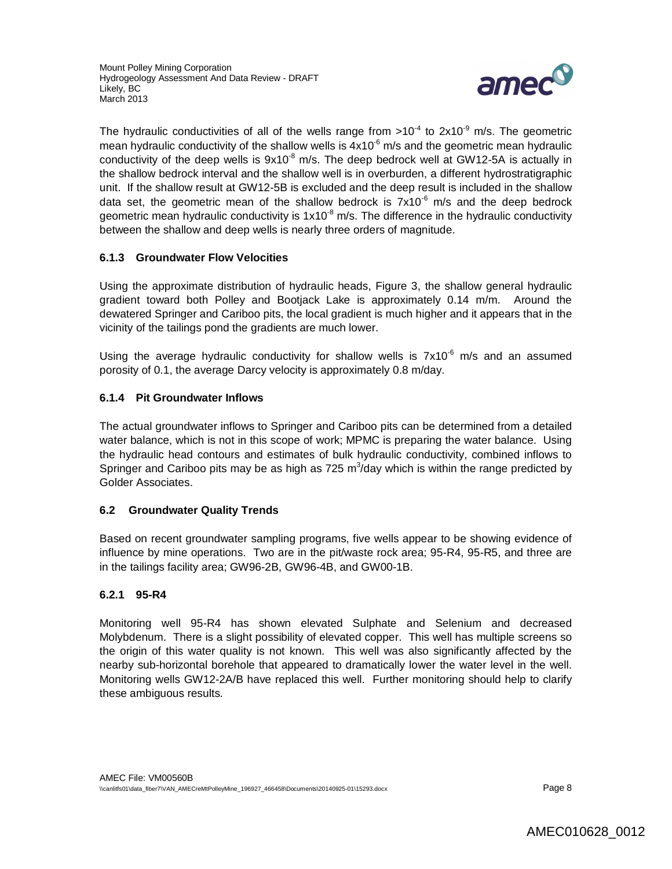

The hydraulic conductivities of all of the wells range from >10<sup>-4</sup> to 2x10<sup>-9</sup> m/s. The geometric mean hydraulic conductivity of the shallow wells is  $4x10<sup>-6</sup>$  m/s and the geometric mean hydraulic conductivity of the deep wells is  $9x10^{-8}$  m/s. The deep bedrock well at GW12-5A is actually in the shallow bedrock interval and the shallow well is in overburden, a different hydrostratigraphic unit. If the shallow result at GW12-5B is excluded and the deep result is included in the shallow data set, the geometric mean of the shallow bedrock is  $7x10^{-6}$  m/s and the deep bedrock geometric mean hydraulic conductivity is  $1 \times 10^{-8}$  m/s. The difference in the hydraulic conductivity between the shallow and deep wells is nearly three orders of magnitude.

### **6.1.3 Groundwater Flow Velocities**

Using the approximate distribution of hydraulic heads, Figure 3, the shallow general hydraulic gradient toward both Polley and Bootjack Lake is approximately 0.14 m/m. Around the dewatered Springer and Cariboo pits, the local gradient is much higher and it appears that in the vicinity of the tailings pond the gradients are much lower.

Using the average hydraulic conductivity for shallow wells is  $7x10^{-6}$  m/s and an assumed porosity of 0.1, the average Darcy velocity is approximately 0.8 m/day.

### **6.1.4 Pit Groundwater Inflows**

The actual groundwater inflows to Springer and Cariboo pits can be determined from a detailed water balance, which is not in this scope of work; MPMC is preparing the water balance. Using the hydraulic head contours and estimates of bulk hydraulic conductivity, combined inflows to Springer and Cariboo pits may be as high as 725  $m^3$ /day which is within the range predicted by Golder Associates.

### **6.2 Groundwater Quality Trends**

Based on recent groundwater sampling programs, five wells appear to be showing evidence of influence by mine operations. Two are in the pit/waste rock area; 95-R4, 95-R5, and three are in the tailings facility area; GW96-2B, GW96-4B, and GW00-1B.

### **6.2.1 95-R4**

Monitoring well 95-R4 has shown elevated Sulphate and Selenium and decreased Molybdenum. There is a slight possibility of elevated copper. This well has multiple screens so the origin of this water quality is not known. This well was also significantly affected by the nearby sub-horizontal borehole that appeared to dramatically lower the water level in the well. Monitoring wells GW12-2A/B have replaced this well. Further monitoring should help to clarify these ambiguous results.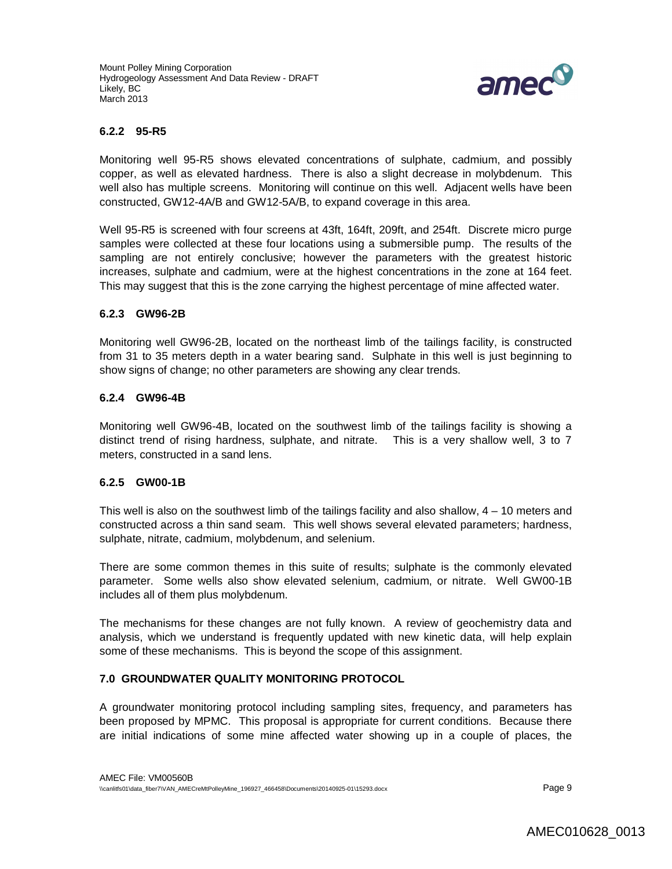

#### **6.2.2 95-R5**

Monitoring well 95-R5 shows elevated concentrations of sulphate, cadmium, and possibly copper, as well as elevated hardness. There is also a slight decrease in molybdenum. This well also has multiple screens. Monitoring will continue on this well. Adjacent wells have been constructed, GW12-4A/B and GW12-5A/B, to expand coverage in this area.

Well 95-R5 is screened with four screens at 43ft, 164ft, 209ft, and 254ft. Discrete micro purge samples were collected at these four locations using a submersible pump. The results of the sampling are not entirely conclusive; however the parameters with the greatest historic increases, sulphate and cadmium, were at the highest concentrations in the zone at 164 feet. This may suggest that this is the zone carrying the highest percentage of mine affected water.

#### **6.2.3 GW96-2B**

Monitoring well GW96-2B, located on the northeast limb of the tailings facility, is constructed from 31 to 35 meters depth in a water bearing sand. Sulphate in this well is just beginning to show signs of change; no other parameters are showing any clear trends.

#### **6.2.4 GW96-4B**

Monitoring well GW96-4B, located on the southwest limb of the tailings facility is showing a distinct trend of rising hardness, sulphate, and nitrate. This is a very shallow well, 3 to 7 meters, constructed in a sand lens.

#### **6.2.5 GW00-1B**

This well is also on the southwest limb of the tailings facility and also shallow, 4 – 10 meters and constructed across a thin sand seam. This well shows several elevated parameters; hardness, sulphate, nitrate, cadmium, molybdenum, and selenium.

There are some common themes in this suite of results; sulphate is the commonly elevated parameter. Some wells also show elevated selenium, cadmium, or nitrate. Well GW00-1B includes all of them plus molybdenum.

The mechanisms for these changes are not fully known. A review of geochemistry data and analysis, which we understand is frequently updated with new kinetic data, will help explain some of these mechanisms. This is beyond the scope of this assignment.

#### **7.0 GROUNDWATER QUALITY MONITORING PROTOCOL**

A groundwater monitoring protocol including sampling sites, frequency, and parameters has been proposed by MPMC. This proposal is appropriate for current conditions. Because there are initial indications of some mine affected water showing up in a couple of places, the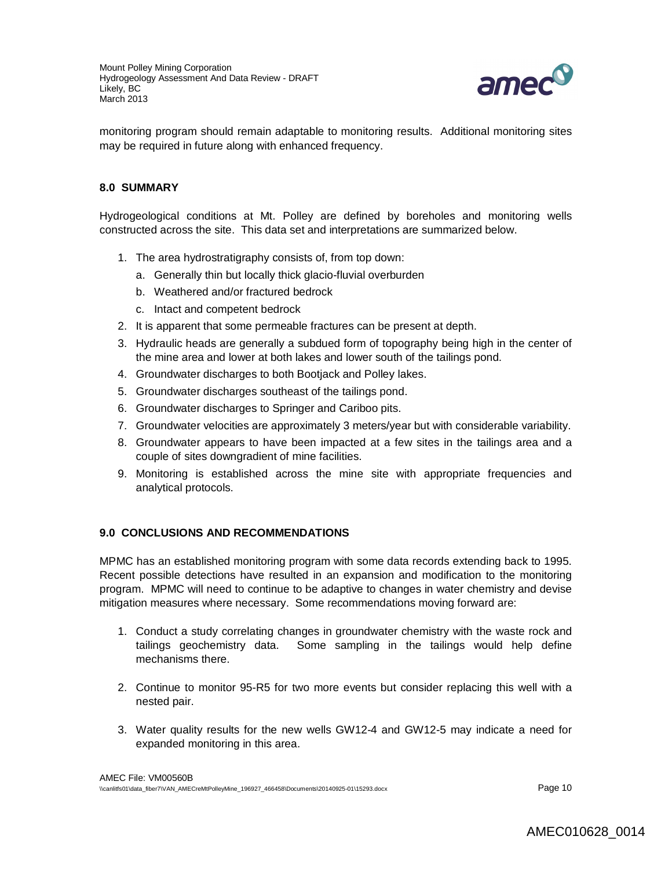

monitoring program should remain adaptable to monitoring results. Additional monitoring sites may be required in future along with enhanced frequency.

### **8.0 SUMMARY**

Hydrogeological conditions at Mt. Polley are defined by boreholes and monitoring wells constructed across the site. This data set and interpretations are summarized below.

- 1. The area hydrostratigraphy consists of, from top down:
	- a. Generally thin but locally thick glacio-fluvial overburden
	- b. Weathered and/or fractured bedrock
	- c. Intact and competent bedrock
- 2. It is apparent that some permeable fractures can be present at depth.
- 3. Hydraulic heads are generally a subdued form of topography being high in the center of the mine area and lower at both lakes and lower south of the tailings pond.
- 4. Groundwater discharges to both Bootjack and Polley lakes.
- 5. Groundwater discharges southeast of the tailings pond.
- 6. Groundwater discharges to Springer and Cariboo pits.
- 7. Groundwater velocities are approximately 3 meters/year but with considerable variability.
- 8. Groundwater appears to have been impacted at a few sites in the tailings area and a couple of sites downgradient of mine facilities.
- 9. Monitoring is established across the mine site with appropriate frequencies and analytical protocols.

#### **9.0 CONCLUSIONS AND RECOMMENDATIONS**

MPMC has an established monitoring program with some data records extending back to 1995. Recent possible detections have resulted in an expansion and modification to the monitoring program. MPMC will need to continue to be adaptive to changes in water chemistry and devise mitigation measures where necessary. Some recommendations moving forward are:

- 1. Conduct a study correlating changes in groundwater chemistry with the waste rock and tailings geochemistry data. Some sampling in the tailings would help define mechanisms there.
- 2. Continue to monitor 95-R5 for two more events but consider replacing this well with a nested pair.
- 3. Water quality results for the new wells GW12-4 and GW12-5 may indicate a need for expanded monitoring in this area.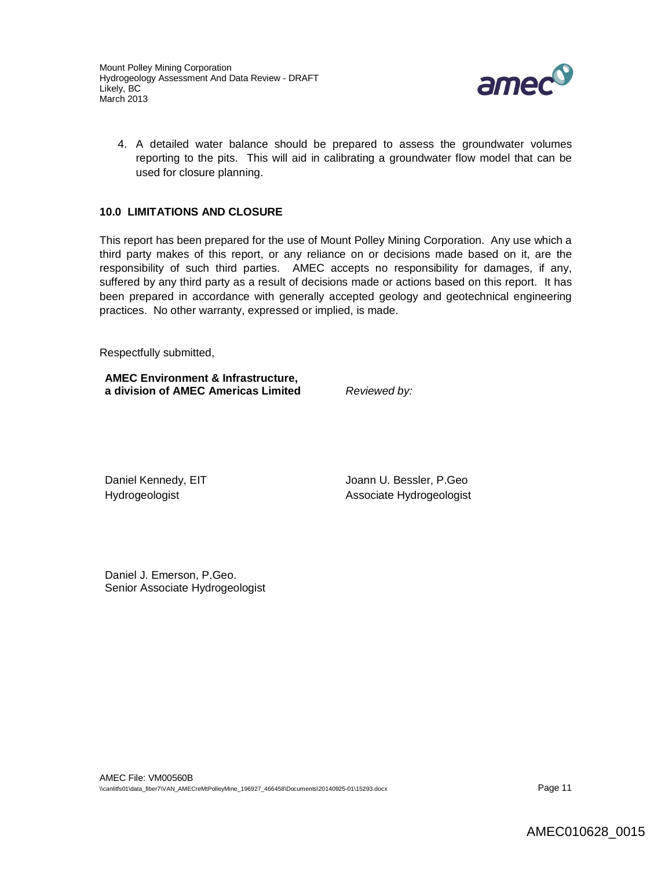

4. A detailed water balance should be prepared to assess the groundwater volumes reporting to the pits. This will aid in calibrating a groundwater flow model that can be used for closure planning.

### **10.0 LIMITATIONS AND CLOSURE**

This report has been prepared for the use of Mount Polley Mining Corporation. Any use which a third party makes of this report, or any reliance on or decisions made based on it, are the responsibility of such third parties. AMEC accepts no responsibility for damages, if any, suffered by any third party as a result of decisions made or actions based on this report. It has been prepared in accordance with generally accepted geology and geotechnical engineering practices. No other warranty, expressed or implied, is made.

Respectfully submitted,

**AMEC Environment & Infrastructure, a division of AMEC Americas Limited** *Reviewed by:*

Daniel Kennedy, EIT **Sancture Community** Joann U. Bessler, P.Geo Hydrogeologist **Associate Hydrogeologist** Associate Hydrogeologist

Daniel J. Emerson, P.Geo. Senior Associate Hydrogeologist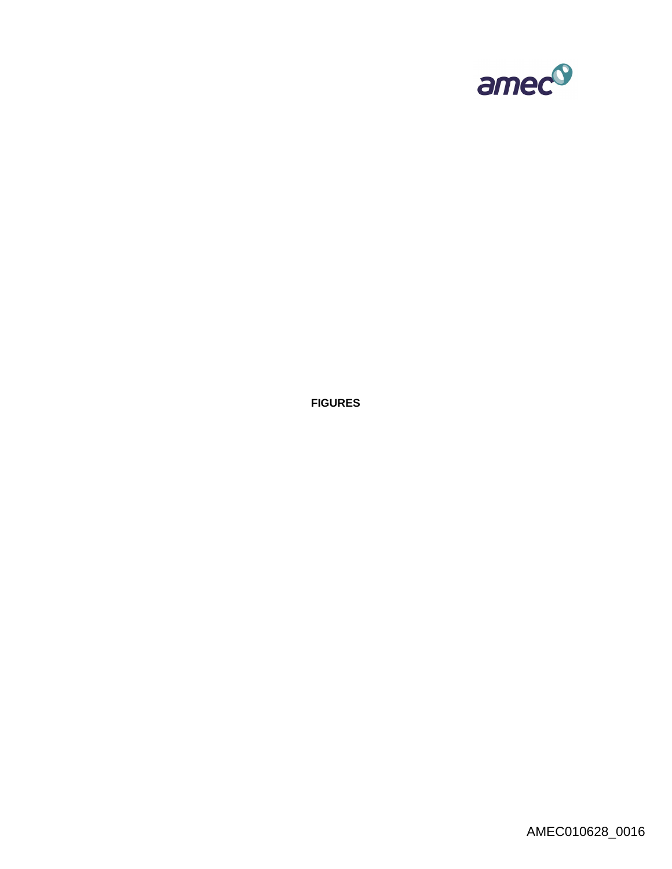

**FIGURES**